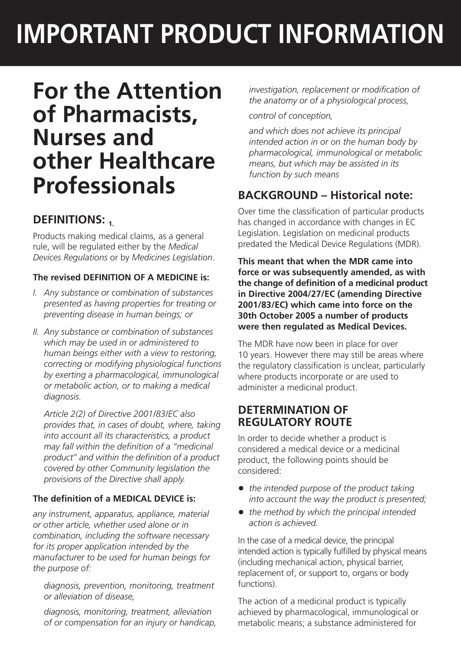# **IMPORTANT PRODUCT INFORMATION**

## **For the Attention of Pharmacists, Nurses and other Healthcare Professionals**

## **DEFINITIONS:**

Products making medical claims, as a general rule, will be regulated either by the *Medical Devices Regulations* or by *Medicines Legislation*.

### **The revised DEFINITION OF A MEDICINE is:**

- *I. Any substance or combination of substances presented as having properties for treating or preventing disease in human beings; or*
- *II. Any substance or combination of substances which may be used in or administered to human beings either with a view to restoring, correcting or modifying physiological functions by exerting a pharmacological, immunological or metabolic action, or to making a medical diagnosis.*

 *Article 2(2) of Directive 2001/83/EC also provides that, in cases of doubt, where, taking into account all its characteristics, a product may fall within the definition of a "medicinal product" and within the definition of a product covered by other Community legislation the provisions of the Directive shall apply.*

### **The definition of a MEDICAL DEVICE is:**

*any instrument, apparatus, appliance, material or other article, whether used alone or in combination, including the software necessary for its proper application intended by the manufacturer to be used for human beings for the purpose of:*

*diagnosis, prevention, monitoring, treatment or alleviation of disease,*

*diagnosis, monitoring, treatment, alleviation of or compensation for an injury or handicap,* *investigation, replacement or modification of the anatomy or of a physiological process,*

*control of conception,* 

*and which does not achieve its principal intended action in or on the human body by pharmacological, immunological or metabolic means, but which may be assisted in its function by such means*

## **BACKGROUND – Historical note:**

Over time the classification of particular products has changed in accordance with changes in EC Legislation. Legislation on medicinal products predated the Medical Device Regulations (MDR).

**This meant that when the MDR came into force or was subsequently amended, as with the change of definition of a medicinal product in Directive 2004/27/EC (amending Directive 2001/83/EC) which came into force on the 30th October 2005 a number of products were then regulated as Medical Devices.**

The MDR have now been in place for over 10 years. However there may still be areas where the regulatory classification is unclear, particularly where products incorporate or are used to administer a medicinal product.

### **DETERMINATION OF REGULATORY ROUTE**

In order to decide whether a product is considered a medical device or a medicinal product, the following points should be considered:

- *the intended purpose of the product taking into account the way the product is presented;*
- the method by which the principal intended *action is achieved.*

In the case of a medical device, the principal intended action is typically fulfilled by physical means (including mechanical action, physical barrier, replacement of, or support to, organs or body functions).

The action of a medicinal product is typically achieved by pharmacological, immunological or metabolic means; a substance administered for